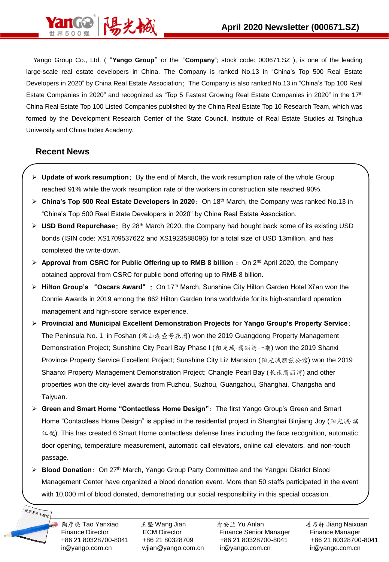

Yango Group Co., Ltd. ("**Yango Group**"or the"**Company**"; stock code: 000671.SZ ), is one of the leading large-scale real estate developers in China. The Company is ranked No.13 in "China's Top 500 Real Estate Developers in 2020" by China Real Estate Association; The Company is also ranked No.13 in "China's Top 100 Real Estate Companies in 2020" and recognized as "Top 5 Fastest Growing Real Estate Companies in 2020" in the 17<sup>th</sup> China Real Estate Top 100 Listed Companies published by the China Real Estate Top 10 Research Team, which was formed by the Development Research Center of the State Council, Institute of Real Estate Studies at Tsinghua University and China Index Academy.

#### **Recent News**

- ➢ **Update of work resumption**:By the end of March, the work resumption rate of the whole Group reached 91% while the work resumption rate of the workers in construction site reached 90%.
- ➢ **China's Top 500 Real Estate Developers in 2020**:On 18th March, the Company was ranked No.13 in "China's Top 500 Real Estate Developers in 2020" by China Real Estate Association.
- ➢ **USD Bond Repurchase**:By 28th March 2020, the Company had bought back some of its existing USD bonds (ISIN code: XS1709537622 and XS1923588096) for a total size of USD 13million, and has completed the write-down.
- ➢ **Approval from CSRC for Public Offering up to RMB 8 billion** :On 2nd April 2020, the Company obtained approval from CSRC for public bond offering up to RMB 8 billion.
- ➢ **Hilton Group's** "**Oscars Award**":On 17th March, Sunshine City Hilton Garden Hotel Xi'an won the Connie Awards in 2019 among the 862 Hilton Garden Inns worldwide for its high-standard operation management and high-score service experience.
- ➢ **Provincial and Municipal Excellent Demonstration Projects for Yango Group's Property Service**: The Peninsula No. 1 in Foshan (佛山湖壹号花园) won the 2019 Guangdong Property Management Demonstration Project; Sunshine City Pearl Bay Phase I (阳光城·翡丽湾一期) won the 2019 Shanxi Province Property Service Excellent Project; Sunshine City Liz Mansion (阳光城丽兹公馆) won the 2019 Shaanxi Property Management Demonstration Project; Changle Pearl Bay (长乐翡丽湾) and other properties won the city-level awards from Fuzhou, Suzhou, Guangzhou, Shanghai, Changsha and Taiyuan.
- ➢ **Green and Smart Home "Contactless Home Design"**:The first Yango Group's Green and Smart Home "Contactless Home Design" is applied in the residential project in Shanghai Binjiang Joy (阳光城·滨 江悦). This has created 6 Smart Home contactless defense lines including the face recognition, automatic door opening, temperature measurement, automatic call elevators, online call elevators, and non-touch passage.
- ➢ **Blood Donation**:On 27th March, Yango Group Party Committee and the Yangpu District Blood Management Center have organized a blood donation event. More than 50 staffs participated in the event with 10,000 ml of blood donated, demonstrating our social responsibility in this special occasion.

投资者关系联络

陶彦晓 Tao Yanxiao Thu Mang Jian Thung 冷安兰 Yu Anlan Thung Naixuan 美乃轩 Jiang Naixuan Finance Director **ECM Director** Finance Senior Manager Finance Manager +86 21 80328700-8041 +86 21 80328709 +86 21 80328700-8041 +86 21 80328700-8041 ir@yango.com.cn wjian@yango.com.cn ir@yango.com.cn ir@yango.com.cn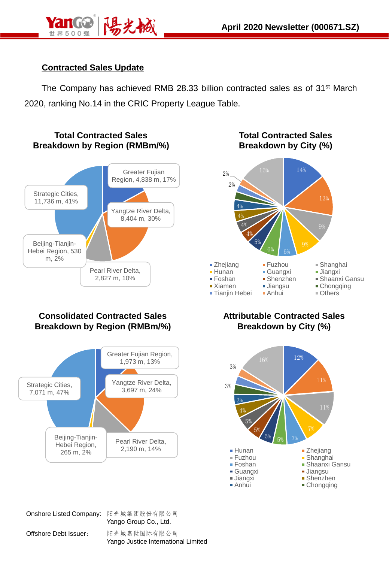

# **Contracted Sales Update**

The Company has achieved RMB 28.33 billion contracted sales as of 31st March 2020, ranking No.14 in the CRIC Property League Table.



## **Consolidated Contracted Sales Breakdown by Region (RMBm/%)**



**Total Contracted Sales Breakdown by City (%)**



### **Attributable Contracted Sales Breakdown by City (%)**



Onshore Listed Company: 阳光城集团股份有限公司 Yango Group Co., Ltd.

Offshore Debt Issuer: 阳光城嘉世国际有限公司 Yango Justice International Limited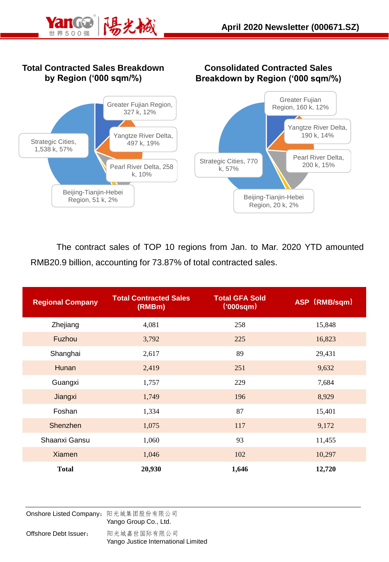

### **Total Contracted Sales Breakdown by Region ('000 sqm/%)**





The contract sales of TOP 10 regions from Jan. to Mar. 2020 YTD amounted RMB20.9 billion, accounting for 73.87% of total contracted sales.

| <b>Regional Company</b> | <b>Total Contracted Sales</b><br>(RMBm) | <b>Total GFA Sold</b><br>(000 <sub>sqm</sub> ) | ASP (RMB/sqm) |  |
|-------------------------|-----------------------------------------|------------------------------------------------|---------------|--|
| Zhejiang                | 4,081                                   | 258                                            | 15,848        |  |
| Fuzhou                  | 3,792                                   | 225                                            | 16,823        |  |
| Shanghai                | 2,617                                   | 89                                             | 29,431        |  |
| <b>Hunan</b>            | 2,419                                   | 251                                            | 9,632         |  |
| Guangxi                 | 1,757                                   | 229                                            | 7,684         |  |
| Jiangxi                 | 1,749                                   | 196                                            | 8,929         |  |
| Foshan                  | 1,334                                   | 87                                             | 15,401        |  |
| Shenzhen                | 1,075                                   | 117                                            | 9,172         |  |
| Shaanxi Gansu           | 1,060                                   | 93                                             | 11,455        |  |
| <b>Xiamen</b>           | 1,046                                   | 102                                            | 10,297        |  |
| <b>Total</b>            | 20,930                                  | 1,646                                          | 12,720        |  |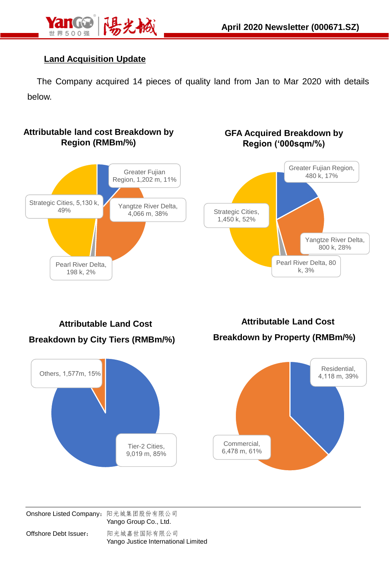

## **Land Acquisition Update**

The Company acquired 14 pieces of quality land from Jan to Mar 2020 with details below.

#### **Attributable land cost Breakdown by Region (RMBm/%)**



#### **GFA Acquired Breakdown by Region ('000sqm/%)**



**Attributable Land Cost Breakdown by City Tiers (RMBm/%)**



**Attributable Land Cost Breakdown by Property (RMBm/%)**